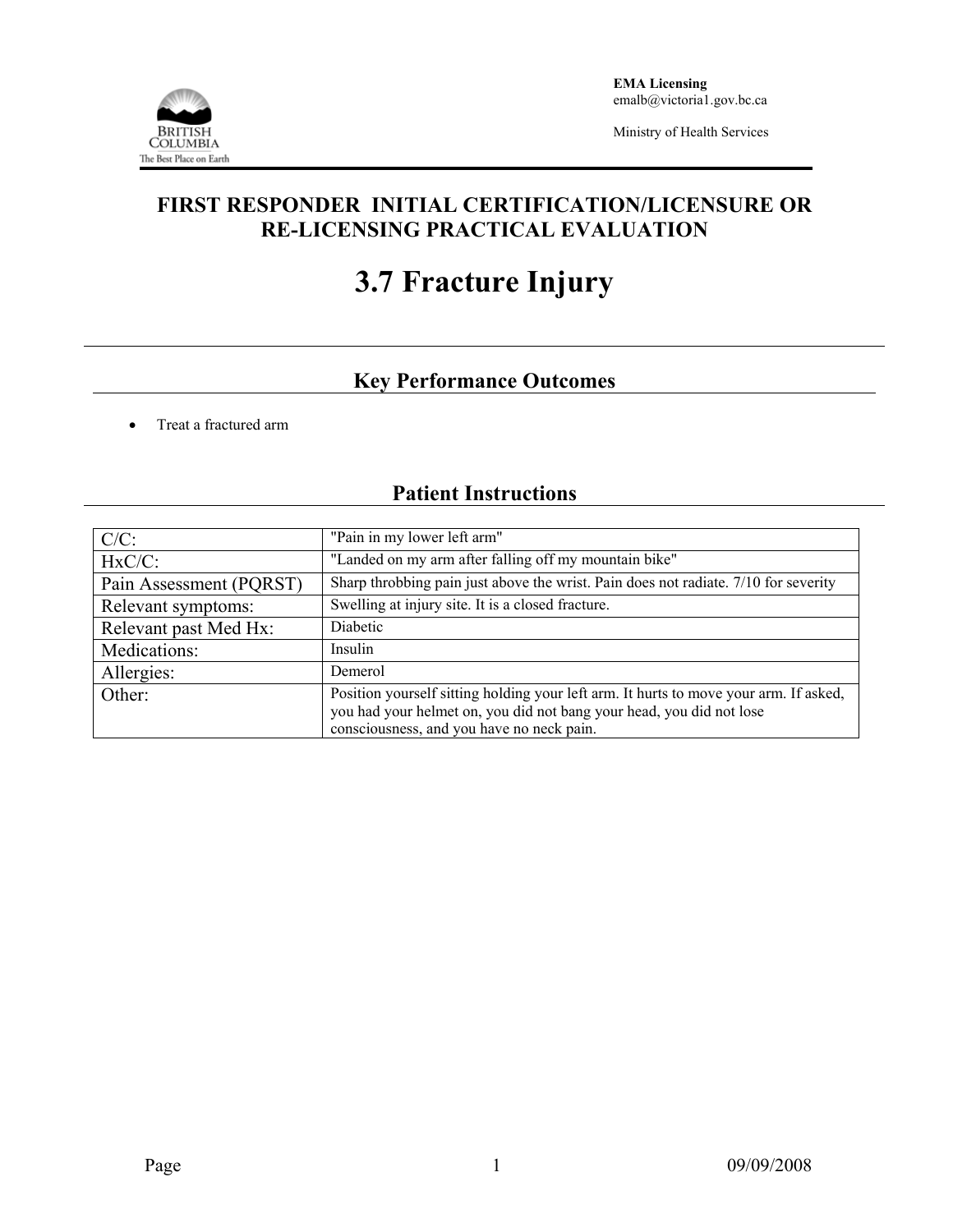

### **FIRST RESPONDER INITIAL CERTIFICATION/LICENSURE OR RE-LICENSING PRACTICAL EVALUATION**

# **3.7 Fracture Injury**

## **Key Performance Outcomes**

• Treat a fractured arm

## **Patient Instructions**

| $C/C$ :                 | "Pain in my lower left arm"                                                                                                                                                                                |  |  |
|-------------------------|------------------------------------------------------------------------------------------------------------------------------------------------------------------------------------------------------------|--|--|
| $HxC/C$ :               | "Landed on my arm after falling off my mountain bike"                                                                                                                                                      |  |  |
| Pain Assessment (PQRST) | Sharp throbbing pain just above the wrist. Pain does not radiate. 7/10 for severity                                                                                                                        |  |  |
| Relevant symptoms:      | Swelling at injury site. It is a closed fracture.                                                                                                                                                          |  |  |
| Relevant past Med Hx:   | Diabetic                                                                                                                                                                                                   |  |  |
| Medications:            | Insulin                                                                                                                                                                                                    |  |  |
| Allergies:              | Demerol                                                                                                                                                                                                    |  |  |
| Other:                  | Position yourself sitting holding your left arm. It hurts to move your arm. If asked,<br>you had your helmet on, you did not bang your head, you did not lose<br>consciousness, and you have no neck pain. |  |  |